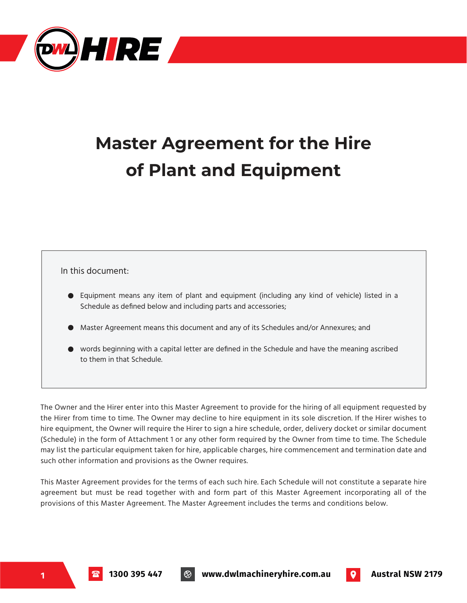

# **Master Agreement for the Hire of Plant and Equipment**

#### In this document:

- Equipment means any item of plant and equipment (including any kind of vehicle) listed in a Schedule as defined below and including parts and accessories;
- Master Agreement means this document and any of its Schedules and/or Annexures; and
- words beginning with a capital letter are defined in the Schedule and have the meaning ascribed to them in that Schedule.

The Owner and the Hirer enter into this Master Agreement to provide for the hiring of all equipment requested by the Hirer from time to time. The Owner may decline to hire equipment in its sole discretion. If the Hirer wishes to hire equipment, the Owner will require the Hirer to sign a hire schedule, order, delivery docket or similar document (Schedule) in the form of Attachment 1 or any other form required by the Owner from time to time. The Schedule may list the particular equipment taken for hire, applicable charges, hire commencement and termination date and such other information and provisions as the Owner requires.

This Master Agreement provides for the terms of each such hire. Each Schedule will not constitute a separate hire agreement but must be read together with and form part of this Master Agreement incorporating all of the provisions of this Master Agreement. The Master Agreement includes the terms and conditions below.

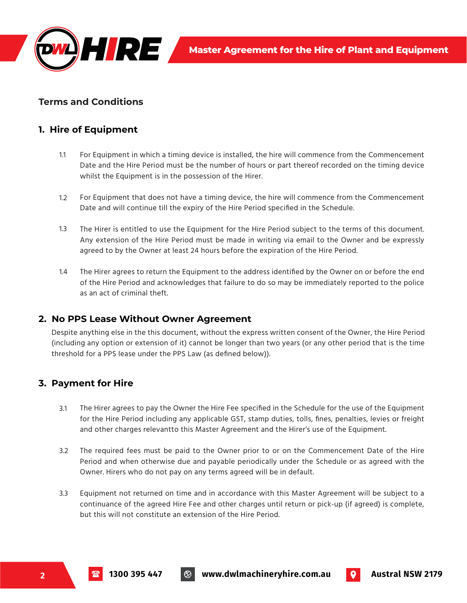

# **Terms and Conditions**

#### **1. Hire of Equipment**

- For Equipment in which a timing device is installed, the hire will commence from the Commencement Date and the Hire Period must be the number of hours or part thereof recorded on the timing device whilst the Equipment is in the possession of the Hirer. 1.1
- For Equipment that does not have a timing device, the hire will commence from the Commencement Date and will continue till the expiry of the Hire Period specified in the Schedule. 1.2
- The Hirer is entitled to use the Equipment for the Hire Period subject to the terms of this document. Any extension of the Hire Period must be made in writing via email to the Owner and be expressly agreed to by the Owner at least 24 hours before the expiration of the Hire Period. 1.3
- The Hirer agrees to return the Equipment to the address identified by the Owner on or before the end of the Hire Period and acknowledges that failure to do so may be immediately reported to the police as an act of criminal theft. 1.4

#### **2. No PPS Lease Without Owner Agreement**

Despite anything else in the this document, without the express written consent of the Owner, the Hire Period (including any option or extension of it) cannot be longer than two years (or any other period that is the time threshold for a PPS lease under the PPS Law (as defined below)).

#### **3. Payment for Hire**

- The Hirer agrees to pay the Owner the Hire Fee specified in the Schedule for the use of the Equipment for the Hire Period including any applicable GST, stamp duties, tolls, fines, penalties, levies or freight and other charges relevantto this Master Agreement and the Hirer's use of the Equipment. 3.1
- The required fees must be paid to the Owner prior to or on the Commencement Date of the Hire Period and when otherwise due and payable periodically under the Schedule or as agreed with the Owner. Hirers who do not pay on any terms agreed will be in default. 3.2
- Equipment not returned on time and in accordance with this Master Agreement will be subject to a continuance of the agreed Hire Fee and other charges until return or pick-up (if agreed) is complete, but this will not constitute an extension of the Hire Period. 3.3

**1300 395 447 www.dwlmachineryhire.com.au Austral NSW 2179**

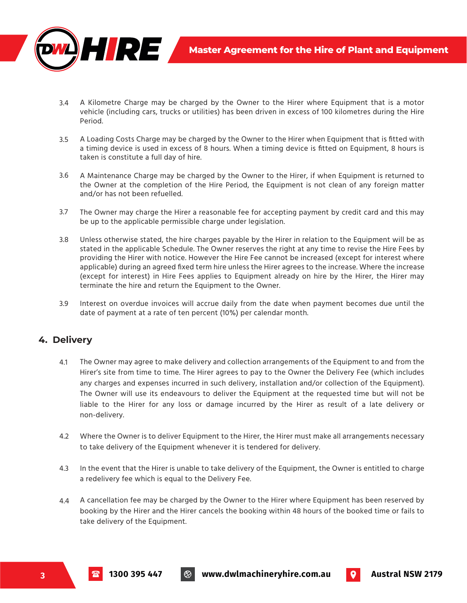



- A Kilometre Charge may be charged by the Owner to the Hirer where Equipment that is a motor vehicle (including cars, trucks or utilities) has been driven in excess of 100 kilometres during the Hire Period. 3.4
- A Loading Costs Charge may be charged by the Owner to the Hirer when Equipment that is fitted with a timing device is used in excess of 8 hours. When a timing device is fitted on Equipment, 8 hours is taken is constitute a full day of hire. 3.5
- A Maintenance Charge may be charged by the Owner to the Hirer, if when Equipment is returned to the Owner at the completion of the Hire Period, the Equipment is not clean of any foreign matter and/or has not been refuelled. 3.6
- The Owner may charge the Hirer a reasonable fee for accepting payment by credit card and this may be up to the applicable permissible charge under legislation. 3.7
- Unless otherwise stated, the hire charges payable by the Hirer in relation to the Equipment will be as stated in the applicable Schedule. The Owner reserves the right at any time to revise the Hire Fees by providing the Hirer with notice. However the Hire Fee cannot be increased (except for interest where applicable) during an agreed fixed term hire unless the Hirer agrees to the increase. Where the increase (except for interest) in Hire Fees applies to Equipment already on hire by the Hirer, the Hirer may terminate the hire and return the Equipment to the Owner. 3.8
- Interest on overdue invoices will accrue daily from the date when payment becomes due until the date of payment at a rate of ten percent (10%) per calendar month. 3.9

# **4. Delivery**

- The Owner may agree to make delivery and collection arrangements of the Equipment to and from the Hirer's site from time to time. The Hirer agrees to pay to the Owner the Delivery Fee (which includes any charges and expenses incurred in such delivery, installation and/or collection of the Equipment). The Owner will use its endeavours to deliver the Equipment at the requested time but will not be liable to the Hirer for any loss or damage incurred by the Hirer as result of a late delivery or non-delivery. 4.1
- Where the Owner is to deliver Equipment to the Hirer, the Hirer must make all arrangements necessary to take delivery of the Equipment whenever it is tendered for delivery. 4.2
- In the event that the Hirer is unable to take delivery of the Equipment, the Owner is entitled to charge a redelivery fee which is equal to the Delivery Fee. 4.3
- A cancellation fee may be charged by the Owner to the Hirer where Equipment has been reserved by booking by the Hirer and the Hirer cancels the booking within 48 hours of the booked time or fails to take delivery of the Equipment. 4.4

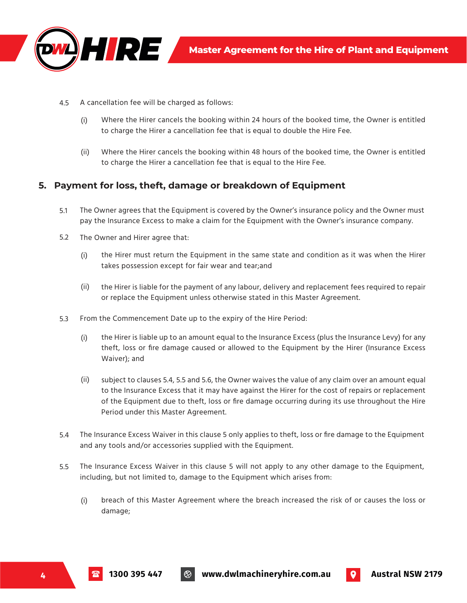

- A cancellation fee will be charged as follows: 4.5
	- Where the Hirer cancels the booking within 24 hours of the booked time, the Owner is entitled to charge the Hirer a cancellation fee that is equal to double the Hire Fee. (i)
	- Where the Hirer cancels the booking within 48 hours of the booked time, the Owner is entitled to charge the Hirer a cancellation fee that is equal to the Hire Fee. (ii)

# **5. Payment for loss, theft, damage or breakdown of Equipment**

- The Owner agrees that the Equipment is covered by the Owner's insurance policy and the Owner must pay the Insurance Excess to make a claim for the Equipment with the Owner's insurance company. 5.1
- The Owner and Hirer agree that: 5.2
	- the Hirer must return the Equipment in the same state and condition as it was when the Hirer takes possession except for fair wear and tear;and (i)
	- the Hirer is liable for the payment of any labour, delivery and replacement fees required to repair or replace the Equipment unless otherwise stated in this Master Agreement. (ii)
- 5.3 From the Commencement Date up to the expiry of the Hire Period:
	- the Hirer is liable up to an amount equal to the Insurance Excess (plus the Insurance Levy) for any theft, loss or fire damage caused or allowed to the Equipment by the Hirer (Insurance Excess Waiver); and (i)
	- subject to clauses 5.4, 5.5 and 5.6, the Owner waives the value of any claim over an amount equal to the Insurance Excess that it may have against the Hirer for the cost of repairs or replacement of the Equipment due to theft, loss or fire damage occurring during its use throughout the Hire Period under this Master Agreement. (ii)
- The Insurance Excess Waiver in this clause 5 only applies to theft, loss or fire damage to the Equipment and any tools and/or accessories supplied with the Equipment. 5.4
- The Insurance Excess Waiver in this clause 5 will not apply to any other damage to the Equipment, including, but not limited to, damage to the Equipment which arises from: 5.5
	- breach of this Master Agreement where the breach increased the risk of or causes the loss or damage; (i)

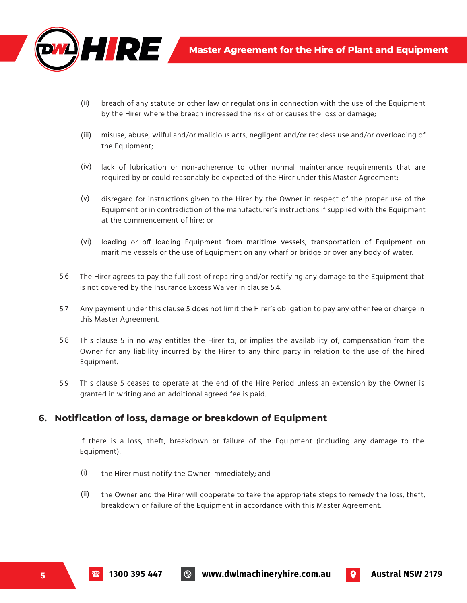

- breach of any statute or other law or regulations in connection with the use of the Equipment by the Hirer where the breach increased the risk of or causes the loss or damage; (ii)
- misuse, abuse, wilful and/or malicious acts, negligent and/or reckless use and/or overloading of (iii) the Equipment;
- lack of lubrication or non-adherence to other normal maintenance requirements that are required by or could reasonably be expected of the Hirer under this Master Agreement; (iv)
- disregard for instructions given to the Hirer by the Owner in respect of the proper use of the Equipment or in contradiction of the manufacturer's instructions if supplied with the Equipment at the commencement of hire; or (v)
- maritime vessels or the use of Equipment on any wharf or bridge or over any body of water. (vi) loading or off loading Equipment from maritime vessels, transportation of Equipment on
- The Hirer agrees to pay the full cost of repairing and/or rectifying any damage to the Equipment that is not covered by the Insurance Excess Waiver in clause 5.4. 5.6
- Any payment under this clause 5 does not limit the Hirer's obligation to pay any other fee or charge in this Master Agreement. 5.7
- This clause 5 in no way entitles the Hirer to, or implies the availability of, compensation from the Owner for any liability incurred by the Hirer to any third party in relation to the use of the hired Equipment. 5.8
- This clause 5 ceases to operate at the end of the Hire Period unless an extension by the Owner is granted in writing and an additional agreed fee is paid. 5.9

# **6. Notification of loss, damage or breakdown of Equipment**

If there is a loss, theft, breakdown or failure of the Equipment (including any damage to the Equipment):

- the Hirer must notify the Owner immediately; and (i)
- the Owner and the Hirer will cooperate to take the appropriate steps to remedy the loss, theft, breakdown or failure of the Equipment in accordance with this Master Agreement. (ii)

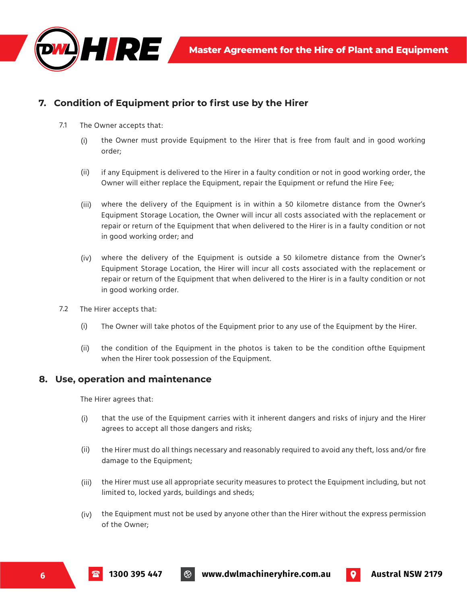

# **7. Condition of Equipment prior to first use by the Hirer**

- 7.1 The Owner accepts that:
	- the Owner must provide Equipment to the Hirer that is free from fault and in good working order; (i)
	- if any Equipment is delivered to the Hirer in a faulty condition or not in good working order, the Owner will either replace the Equipment, repair the Equipment or refund the Hire Fee; (ii)
	- where the delivery of the Equipment is in within a 50 kilometre distance from the Owner's Equipment Storage Location, the Owner will incur all costs associated with the replacement or repair or return of the Equipment that when delivered to the Hirer is in a faulty condition or not in good working order; and (iii)
	- (iv) where the delivery of the Equipment is outside a 50 kilometre distance from the Owner's Equipment Storage Location, the Hirer will incur all costs associated with the replacement or repair or return of the Equipment that when delivered to the Hirer is in a faulty condition or not in good working order.
- 7.2 The Hirer accepts that:
	- The Owner will take photos of the Equipment prior to any use of the Equipment by the Hirer. (i)
	- the condition of the Equipment in the photos is taken to be the condition ofthe Equipment when the Hirer took possession of the Equipment. (ii)

#### **8. Use, operation and maintenance**

The Hirer agrees that:

- that the use of the Equipment carries with it inherent dangers and risks of injury and the Hirer agrees to accept all those dangers and risks; (i)
- the Hirer must do all things necessary and reasonably required to avoid any theft, loss and/or fire damage to the Equipment; (ii)
- the Hirer must use all appropriate security measures to protect the Equipment including, but not limited to, locked yards, buildings and sheds; (iii)
- (iv) the Equipment must not be used by anyone other than the Hirer without the express permission of the Owner;

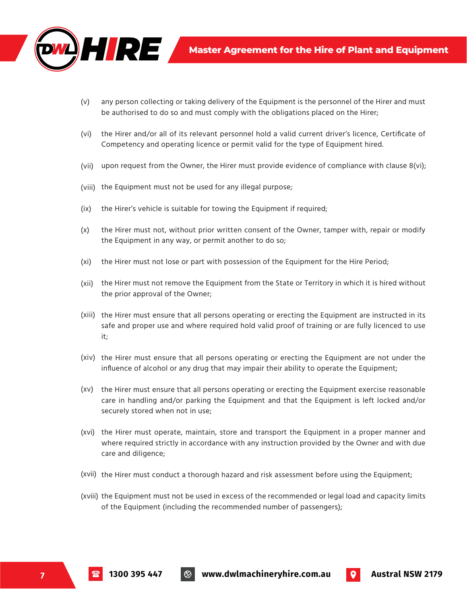

- any person collecting or taking delivery of the Equipment is the personnel of the Hirer and must be authorised to do so and must comply with the obligations placed on the Hirer; (v)
- (vi) the Hirer and/or all of its relevant personnel hold a valid current driver's licence, Certificate of Competency and operating licence or permit valid for the type of Equipment hired.
- (vii) upon request from the Owner, the Hirer must provide evidence of compliance with clause  $8(vi)$ ;
- (viii) the Equipment must not be used for any illegal purpose;
- the Hirer's vehicle is suitable for towing the Equipment if required; (ix)
- the Hirer must not, without prior written consent of the Owner, tamper with, repair or modify the Equipment in any way, or permit another to do so; (x)
- the Hirer must not lose or part with possession of the Equipment for the Hire Period; (xi)
- (xii) the Hirer must not remove the Equipment from the State or Territory in which it is hired without the prior approval of the Owner;
- (xiii) the Hirer must ensure that all persons operating or erecting the Equipment are instructed in its safe and proper use and where required hold valid proof of training or are fully licenced to use it;
- (xiv) the Hirer must ensure that all persons operating or erecting the Equipment are not under the influence of alcohol or any drug that may impair their ability to operate the Equipment;
- (xv) the Hirer must ensure that all persons operating or erecting the Equipment exercise reasonable care in handling and/or parking the Equipment and that the Equipment is left locked and/or securely stored when not in use;
- (xvi) the Hirer must operate, maintain, store and transport the Equipment in a proper manner and where required strictly in accordance with any instruction provided by the Owner and with due care and diligence;
- (xvii) the Hirer must conduct a thorough hazard and risk assessment before using the Equipment;
- (xviii) the Equipment must not be used in excess of the recommended or legal load and capacity limits of the Equipment (including the recommended number of passengers);

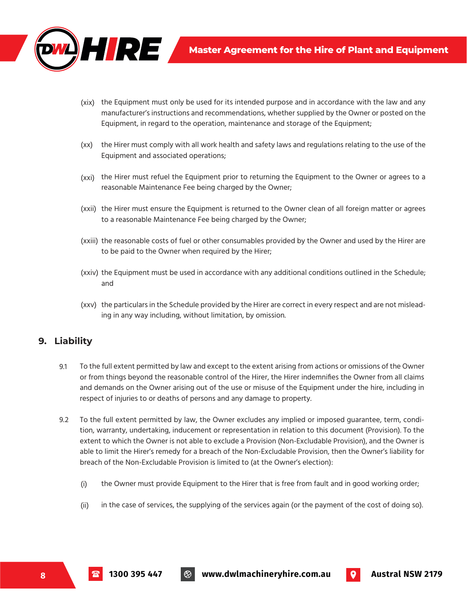

- (xix) the Equipment must only be used for its intended purpose and in accordance with the law and any manufacturer's instructions and recommendations, whether supplied by the Owner or posted on the Equipment, in regard to the operation, maintenance and storage of the Equipment;
- (xx) the Hirer must comply with all work health and safety laws and regulations relating to the use of the Equipment and associated operations;
- $(xxi)$  the Hirer must refuel the Equipment prior to returning the Equipment to the Owner or agrees to a reasonable Maintenance Fee being charged by the Owner;
- (xxii) the Hirer must ensure the Equipment is returned to the Owner clean of all foreign matter or agrees to a reasonable Maintenance Fee being charged by the Owner;
- (xxiii) the reasonable costs of fuel or other consumables provided by the Owner and used by the Hirer are to be paid to the Owner when required by the Hirer;
- (xxiv) the Equipment must be used in accordance with any additional conditions outlined in the Schedule; and
- (xxv) the particulars in the Schedule provided by the Hirer are correct in every respect and are not misleading in any way including, without limitation, by omission.

# **9. Liability**

- To the full extent permitted by law and except to the extent arising from actions or omissions of the Owner or from things beyond the reasonable control of the Hirer, the Hirer indemnifies the Owner from all claims and demands on the Owner arising out of the use or misuse of the Equipment under the hire, including in respect of injuries to or deaths of persons and any damage to property. 9.1
- To the full extent permitted by law, the Owner excludes any implied or imposed guarantee, term, condition, warranty, undertaking, inducement or representation in relation to this document (Provision). To the extent to which the Owner is not able to exclude a Provision (Non-Excludable Provision), and the Owner is able to limit the Hirer's remedy for a breach of the Non-Excludable Provision, then the Owner's liability for breach of the Non-Excludable Provision is limited to (at the Owner's election): 9.2
	- the Owner must provide Equipment to the Hirer that is free from fault and in good working order; (i)
	- (ii) in the case of services, the supplying of the services again (or the payment of the cost of doing so).

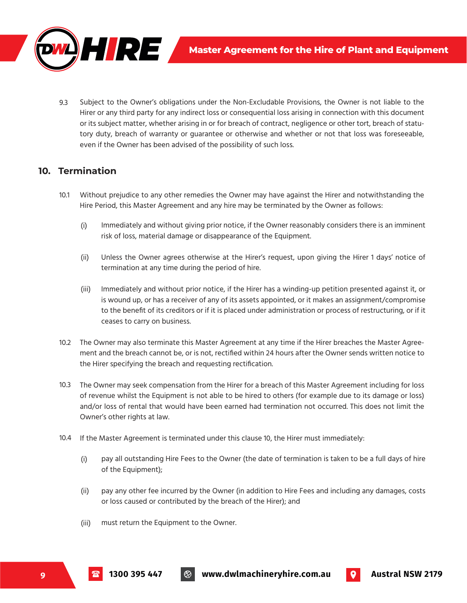



Subject to the Owner's obligations under the Non-Excludable Provisions, the Owner is not liable to the Hirer or any third party for any indirect loss or consequential loss arising in connection with this document or its subject matter, whether arising in or for breach of contract, negligence or other tort, breach of statutory duty, breach of warranty or guarantee or otherwise and whether or not that loss was foreseeable, even if the Owner has been advised of the possibility of such loss. 9.3

# **10. Termination**

- Without prejudice to any other remedies the Owner may have against the Hirer and notwithstanding the Hire Period, this Master Agreement and any hire may be terminated by the Owner as follows: 10.1
	- Immediately and without giving prior notice, if the Owner reasonably considers there is an imminent risk of loss, material damage or disappearance of the Equipment. (i)
	- Unless the Owner agrees otherwise at the Hirer's request, upon giving the Hirer 1 days' notice of termination at any time during the period of hire. (ii)
	- Immediately and without prior notice, if the Hirer has a winding-up petition presented against it, or is wound up, or has a receiver of any of its assets appointed, or it makes an assignment/compromise to the benefit of its creditors or if it is placed under administration or process of restructuring, or if it ceases to carry on business. (iii)
- The Owner may also terminate this Master Agreement at any time if the Hirer breaches the Master Agree-10.2 ment and the breach cannot be, or is not, rectified within 24 hours after the Owner sends written notice to the Hirer specifying the breach and requesting rectification.
- 10.3 The Owner may seek compensation from the Hirer for a breach of this Master Agreement including for loss of revenue whilst the Equipment is not able to be hired to others (for example due to its damage or loss) and/or loss of rental that would have been earned had termination not occurred. This does not limit the Owner's other rights at law.
- 10.4 If the Master Agreement is terminated under this clause 10, the Hirer must immediately:
	- pay all outstanding Hire Fees to the Owner (the date of termination is taken to be a full days of hire of the Equipment); (i)
	- (ii) pay any other fee incurred by the Owner (in addition to Hire Fees and including any damages, costs or loss caused or contributed by the breach of the Hirer); and
	- (iii) must return the Equipment to the Owner.

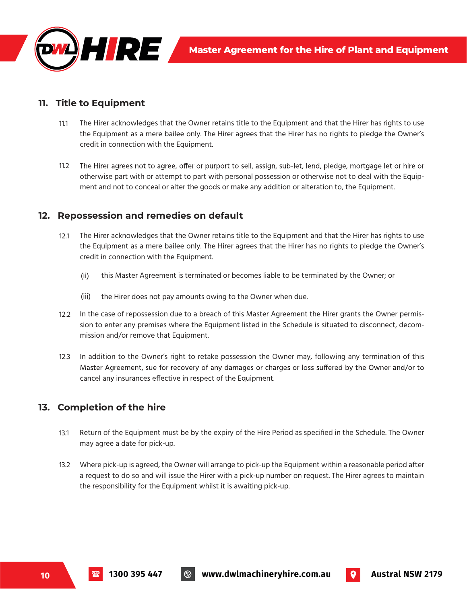

#### **11. Title to Equipment**

- The Hirer acknowledges that the Owner retains title to the Equipment and that the Hirer has rights to use the Equipment as a mere bailee only. The Hirer agrees that the Hirer has no rights to pledge the Owner's credit in connection with the Equipment. 11.1
- 11.2 The Hirer agrees not to agree, offer or purport to sell, assign, sub-let, lend, pledge, mortgage let or hire or otherwise part with or attempt to part with personal possession or otherwise not to deal with the Equipment and not to conceal or alter the goods or make any addition or alteration to, the Equipment.

#### **12. Repossession and remedies on default**

- The Hirer acknowledges that the Owner retains title to the Equipment and that the Hirer has rights to use the Equipment as a mere bailee only. The Hirer agrees that the Hirer has no rights to pledge the Owner's credit in connection with the Equipment. 12.1
	- this Master Agreement is terminated or becomes liable to be terminated by the Owner; or (ii)
	- the Hirer does not pay amounts owing to the Owner when due. (iii)
- 12.2 In the case of repossession due to a breach of this Master Agreement the Hirer grants the Owner permission to enter any premises where the Equipment listed in the Schedule is situated to disconnect, decommission and/or remove that Equipment.
- 12.3 In addition to the Owner's right to retake possession the Owner may, following any termination of this Master Agreement, sue for recovery of any damages or charges or loss suffered by the Owner and/or to cancel any insurances effective in respect of the Equipment.

#### **13. Completion of the hire**

- Return of the Equipment must be by the expiry of the Hire Period as specified in the Schedule. The Owner may agree a date for pick-up. 13.1
- Where pick-up is agreed, the Owner will arrange to pick-up the Equipment within a reasonable period after 13.2 a request to do so and will issue the Hirer with a pick-up number on request. The Hirer agrees to maintain the responsibility for the Equipment whilst it is awaiting pick-up.

1300 395 447 **8** www.dwlmachineryhire.com.au **Q** Austral NSW 2179

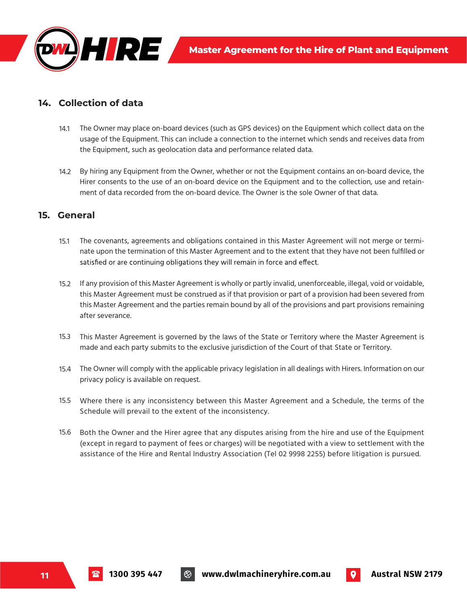

# **14. Collection of data**

- The Owner may place on-board devices (such as GPS devices) on the Equipment which collect data on the usage of the Equipment. This can include a connection to the internet which sends and receives data from the Equipment, such as geolocation data and performance related data. 14.1
- 14.2 By hiring any Equipment from the Owner, whether or not the Equipment contains an on-board device, the Hirer consents to the use of an on-board device on the Equipment and to the collection, use and retainment of data recorded from the on-board device. The Owner is the sole Owner of that data.

#### **15. General**

- The covenants, agreements and obligations contained in this Master Agreement will not merge or termi-15.1 nate upon the termination of this Master Agreement and to the extent that they have not been fulfilled or satisfied or are continuing obligations they will remain in force and effect.
- If any provision of this Master Agreement is wholly or partly invalid, unenforceable, illegal, void or voidable, 15.2 this Master Agreement must be construed as if that provision or part of a provision had been severed from this Master Agreement and the parties remain bound by all of the provisions and part provisions remaining after severance.
- 15.3 This Master Agreement is governed by the laws of the State or Territory where the Master Agreement is made and each party submits to the exclusive jurisdiction of the Court of that State or Territory.
- 15.4 The Owner will comply with the applicable privacy legislation in all dealings with Hirers. Information on our privacy policy is available on request.
- Where there is any inconsistency between this Master Agreement and a Schedule, the terms of the 15.5 Schedule will prevail to the extent of the inconsistency.
- 15.6 Both the Owner and the Hirer agree that any disputes arising from the hire and use of the Equipment (except in regard to payment of fees or charges) will be negotiated with a view to settlement with the assistance of the Hire and Rental Industry Association (Tel 02 9998 2255) before litigation is pursued.

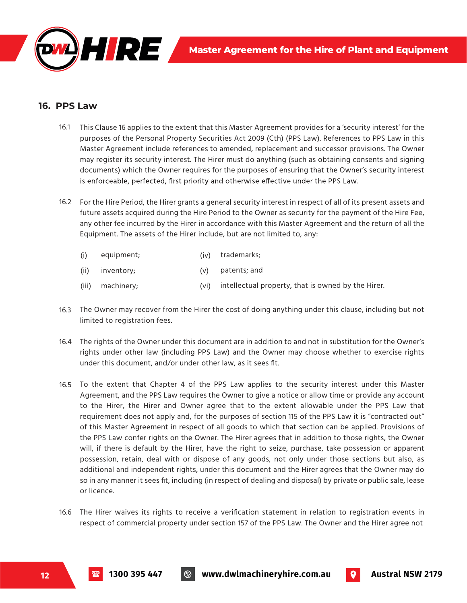

#### **16. PPS Law**

- 16.1 This Clause 16 applies to the extent that this Master Agreement provides for a 'security interest' for the purposes of the Personal Property Securities Act 2009 (Cth) (PPS Law). References to PPS Law in this Master Agreement include references to amended, replacement and successor provisions. The Owner may register its security interest. The Hirer must do anything (such as obtaining consents and signing documents) which the Owner requires for the purposes of ensuring that the Owner's security interest is enforceable, perfected, first priority and otherwise effective under the PPS Law.
- 16.2 For the Hire Period, the Hirer grants a general security interest in respect of all of its present assets and future assets acquired during the Hire Period to the Owner as security for the payment of the Hire Fee, any other fee incurred by the Hirer in accordance with this Master Agreement and the return of all the Equipment. The assets of the Hirer include, but are not limited to, any:
	- (i) equipment; (iv) trademarks;
	- (ii) inventory; (v) patents; and
	- (iii) machinery; (vi) intellectual property, that is owned by the Hirer.
- 16.3 The Owner may recover from the Hirer the cost of doing anything under this clause, including but not limited to registration fees.
- 16.4 The rights of the Owner under this document are in addition to and not in substitution for the Owner's rights under other law (including PPS Law) and the Owner may choose whether to exercise rights under this document, and/or under other law, as it sees fit.
- 16.5 To the extent that Chapter 4 of the PPS Law applies to the security interest under this Master Agreement, and the PPS Law requires the Owner to give a notice or allow time or provide any account to the Hirer, the Hirer and Owner agree that to the extent allowable under the PPS Law that requirement does not apply and, for the purposes of section 115 of the PPS Law it is "contracted out" of this Master Agreement in respect of all goods to which that section can be applied. Provisions of the PPS Law confer rights on the Owner. The Hirer agrees that in addition to those rights, the Owner will, if there is default by the Hirer, have the right to seize, purchase, take possession or apparent possession, retain, deal with or dispose of any goods, not only under those sections but also, as additional and independent rights, under this document and the Hirer agrees that the Owner may do so in any manner it sees fit, including (in respect of dealing and disposal) by private or public sale, lease or licence.
- 16.6 The Hirer waives its rights to receive a verification statement in relation to registration events in respect of commercial property under section 157 of the PPS Law. The Owner and the Hirer agree not

**1300 395 447 www.dwlmachineryhire.com.au Austral NSW 2179**

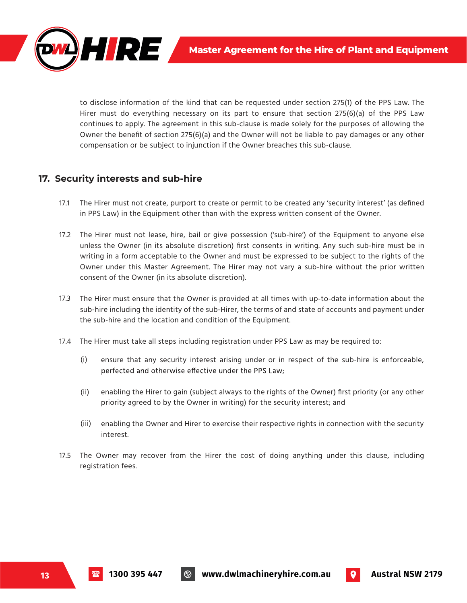

to disclose information of the kind that can be requested under section 275(1) of the PPS Law. The Hirer must do everything necessary on its part to ensure that section 275(6)(a) of the PPS Law continues to apply. The agreement in this sub-clause is made solely for the purposes of allowing the Owner the benefit of section 275(6)(a) and the Owner will not be liable to pay damages or any other compensation or be subject to injunction if the Owner breaches this sub-clause.

# **17. Security interests and sub-hire**

- The Hirer must not create, purport to create or permit to be created any 'security interest' (as defined in PPS Law) in the Equipment other than with the express written consent of the Owner. 17.1
- 17.2 The Hirer must not lease, hire, bail or give possession ('sub-hire') of the Equipment to anyone else unless the Owner (in its absolute discretion) first consents in writing. Any such sub-hire must be in writing in a form acceptable to the Owner and must be expressed to be subject to the rights of the Owner under this Master Agreement. The Hirer may not vary a sub-hire without the prior written consent of the Owner (in its absolute discretion).
- 17.3 The Hirer must ensure that the Owner is provided at all times with up-to-date information about the sub-hire including the identity of the sub-Hirer, the terms of and state of accounts and payment under the sub-hire and the location and condition of the Equipment.
- 17.4 The Hirer must take all steps including registration under PPS Law as may be required to:
	- (i) ensure that any security interest arising under or in respect of the sub-hire is enforceable, perfected and otherwise effective under the PPS Law;
	- enabling the Hirer to gain (subject always to the rights of the Owner) first priority (or any other priority agreed to by the Owner in writing) for the security interest; and (ii)
	- enabling the Owner and Hirer to exercise their respective rights in connection with the security interest. (iii)
- 17.5 The Owner may recover from the Hirer the cost of doing anything under this clause, including registration fees.